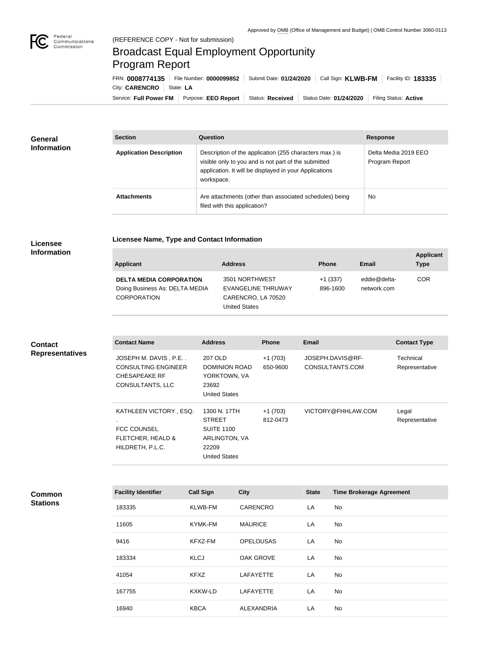

## Broadcast Equal Employment Opportunity Program Report

**Licensee Name, Type and Contact Information**

Service: Full Power FM | Purpose: EEO Report | Status: Received | Status Date: 01/24/2020 | Filing Status: Active City: **CARENCRO** | State: LA FRN: **0008774135** File Number: **0000099852** Submit Date: **01/24/2020** Call Sign: **KLWB-FM** Facility ID: **183335**

| General<br><b>Information</b> | <b>Section</b>                 | <b>Question</b>                                                                                                                                                                         | <b>Response</b>                        |
|-------------------------------|--------------------------------|-----------------------------------------------------------------------------------------------------------------------------------------------------------------------------------------|----------------------------------------|
|                               | <b>Application Description</b> | Description of the application (255 characters max.) is<br>visible only to you and is not part of the submitted<br>application. It will be displayed in your Applications<br>workspace. | Delta Media 2019 EEO<br>Program Report |
|                               | <b>Attachments</b>             | Are attachments (other than associated schedules) being<br>filed with this application?                                                                                                 | No                                     |

## **Licensee Information**

| <b>Applicant</b>                                                                       | <b>Address</b>                                                                     | <b>Phone</b>          | Email                       | <b>Applicant</b><br><b>Type</b> |
|----------------------------------------------------------------------------------------|------------------------------------------------------------------------------------|-----------------------|-----------------------------|---------------------------------|
| <b>DELTA MEDIA CORPORATION</b><br>Doing Business As: DELTA MEDIA<br><b>CORPORATION</b> | 3501 NORTHWEST<br>EVANGELINE THRUWAY<br>CARENCRO, LA 70520<br><b>United States</b> | $+1(337)$<br>896-1600 | eddie@delta-<br>network.com | <b>COR</b>                      |

| <b>Contact</b><br><b>Representatives</b> | <b>Contact Name</b>                                                                                    | <b>Address</b>                                                                                       | <b>Phone</b>          | Email                               | <b>Contact Type</b>         |
|------------------------------------------|--------------------------------------------------------------------------------------------------------|------------------------------------------------------------------------------------------------------|-----------------------|-------------------------------------|-----------------------------|
|                                          | JOSEPH M. DAVIS, P.E<br><b>CONSULTING ENGINEER</b><br><b>CHESAPEAKE RF</b><br>CONSULTANTS, LLC         | 207 OLD<br><b>DOMINION ROAD</b><br>YORKTOWN, VA<br>23692<br><b>United States</b>                     | $+1(703)$<br>650-9600 | JOSEPH.DAVIS@RF-<br>CONSULTANTS.COM | Technical<br>Representative |
|                                          | KATHLEEN VICTORY, ESQ.<br>٠.<br><b>FCC COUNSEL</b><br><b>FLETCHER, HEALD &amp;</b><br>HILDRETH, P.L.C. | 1300 N. 17TH<br><b>STREET</b><br><b>SUITE 1100</b><br>ARLINGTON, VA<br>22209<br><b>United States</b> | $+1(703)$<br>812-0473 | VICTORY@FHHLAW.COM                  | Legal<br>Representative     |

**Common Stations**

| <b>Facility Identifier</b> | <b>Call Sign</b> | <b>City</b>       | <b>State</b> | <b>Time Brokerage Agreement</b> |
|----------------------------|------------------|-------------------|--------------|---------------------------------|
| 183335                     | <b>KLWB-FM</b>   | <b>CARENCRO</b>   | LA           | <b>No</b>                       |
| 11605                      | KYMK-FM          | <b>MAURICE</b>    | LA           | No.                             |
| 9416                       | KFXZ-FM          | <b>OPELOUSAS</b>  | LA           | No                              |
| 183334                     | <b>KLCJ</b>      | <b>OAK GROVE</b>  | LA           | No.                             |
| 41054                      | <b>KFXZ</b>      | <b>LAFAYETTE</b>  | LA           | No                              |
| 167755                     | <b>KXKW-LD</b>   | <b>LAFAYETTE</b>  | LA           | No.                             |
| 16940                      | <b>KBCA</b>      | <b>ALEXANDRIA</b> | LA           | No.                             |